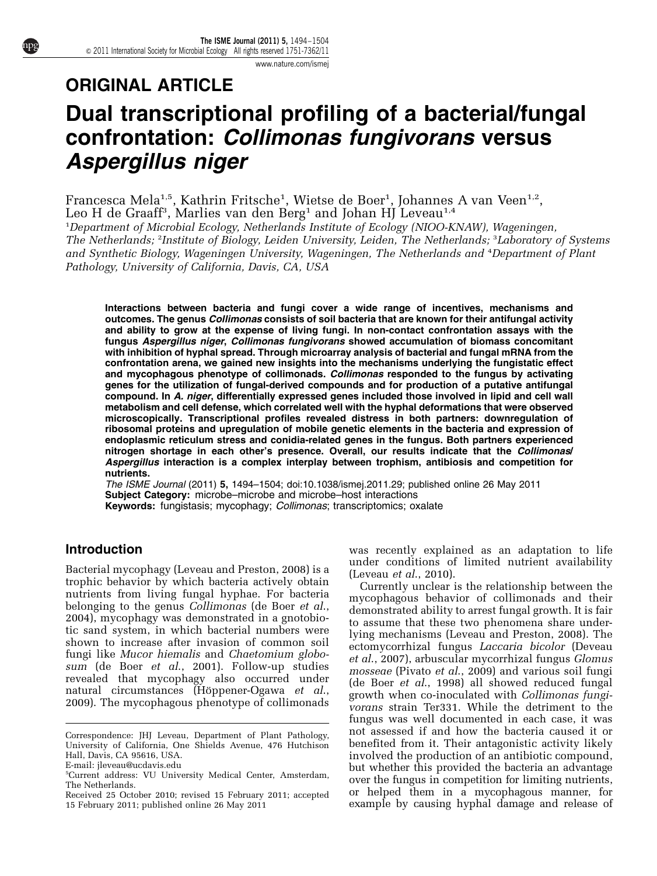[www.nature.com/ismej](http://www.nature.com/ismej)

# ORIGINAL ARTICLE Dual transcriptional profiling of a bacterial/fungal confrontation: Collimonas fungivorans versus Aspergillus niger

Francesca Mela<sup>1,5</sup>, Kathrin Fritsche<sup>1</sup>, Wietse de Boer<sup>1</sup>, Johannes A van Veen<sup>1,2</sup>,<br>Leo H de Graaff<sup>3</sup>, Marlies van den Berg<sup>1</sup> and Johan HJ Leveau<sup>1,4</sup> Leo H de Graaff<sup>3</sup>, Marlies van den Berg<sup>1</sup> and Johan HJ Leveau<sup>1,4</sup>

<sup>1</sup>Department of Microbial Ecology, Netherlands Institute of Ecology (NIOO-KNAW), Wageningen, The Netherlands; <sup>2</sup>Institute of Biology, Leiden University, Leiden, The Netherlands; <sup>3</sup>Laboratory of Systems and Synthetic Biology, Wageningen University, Wageningen, The Netherlands and <sup>4</sup> Department of Plant Pathology, University of California, Davis, CA, USA

Interactions between bacteria and fungi cover a wide range of incentives, mechanisms and outcomes. The genus Collimonas consists of soil bacteria that are known for their antifungal activity and ability to grow at the expense of living fungi. In non-contact confrontation assays with the fungus Aspergillus niger, Collimonas fungivorans showed accumulation of biomass concomitant with inhibition of hyphal spread. Through microarray analysis of bacterial and fungal mRNA from the confrontation arena, we gained new insights into the mechanisms underlying the fungistatic effect and mycophagous phenotype of collimonads. Collimonas responded to the fungus by activating genes for the utilization of fungal-derived compounds and for production of a putative antifungal compound. In A. niger, differentially expressed genes included those involved in lipid and cell wall metabolism and cell defense, which correlated well with the hyphal deformations that were observed microscopically. Transcriptional profiles revealed distress in both partners: downregulation of ribosomal proteins and upregulation of mobile genetic elements in the bacteria and expression of endoplasmic reticulum stress and conidia-related genes in the fungus. Both partners experienced nitrogen shortage in each other's presence. Overall, our results indicate that the Collimonas/ Aspergillus interaction is a complex interplay between trophism, antibiosis and competition for nutrients.

The ISME Journal (2011) 5, 1494–1504; doi:[10.1038/ismej.2011.29;](http://dx.doi.org/10.1038/ismej.2011.29) published online 26 May 2011 Subject Category: microbe–microbe and microbe–host interactions Keywords: fungistasis; mycophagy; Collimonas; transcriptomics; oxalate

## Introduction

Bacterial mycophagy ([Leveau and Preston, 2008\)](#page-9-0) is a trophic behavior by which bacteria actively obtain nutrients from living fungal hyphae. For bacteria belonging to the genus *Collimonas* [\(de Boer](#page-9-0) *et al.*, [2004\)](#page-9-0), mycophagy was demonstrated in a gnotobiotic sand system, in which bacterial numbers were shown to increase after invasion of common soil fungi like Mucor hiemalis and Chaetomium globosum ([de Boer](#page-9-0) et al., 2001). Follow-up studies revealed that mycophagy also occurred under natural circumstances (Höppener-Ogawa et al., [2009\)](#page-9-0). The mycophagous phenotype of collimonads

was recently explained as an adaptation to life under conditions of limited nutrient availability ([Leveau](#page-9-0) et al., 2010).

Currently unclear is the relationship between the mycophagous behavior of collimonads and their demonstrated ability to arrest fungal growth. It is fair to assume that these two phenomena share underlying mechanisms ([Leveau and Preston, 2008\)](#page-9-0). The ectomycorrhizal fungus Laccaria bicolor ([Deveau](#page-9-0) et al[., 2007](#page-9-0)), arbuscular mycorrhizal fungus Glomus mosseae (Pivato et al[., 2009](#page-10-0)) and various soil fungi ([de Boer](#page-9-0) et al., 1998) all showed reduced fungal growth when co-inoculated with Collimonas fungivorans strain Ter331. While the detriment to the fungus was well documented in each case, it was not assessed if and how the bacteria caused it or benefited from it. Their antagonistic activity likely involved the production of an antibiotic compound, but whether this provided the bacteria an advantage over the fungus in competition for limiting nutrients, or helped them in a mycophagous manner, for Received 25 October 2010; revised 15 February 2011; accepted or helped them in a mycophagous manner, for<br>15 February 2011; published online 26 May 2011 example by causing hyphal damage and release of

Correspondence: JHJ Leveau, Department of Plant Pathology, University of California, One Shields Avenue, 476 Hutchison Hall, Davis, CA 95616, USA.

E-mail: [jleveau@ucdavis.edu](mailto:jleveau@ucdavis.edu)

<sup>5</sup> Current address: VU University Medical Center, Amsterdam, The Netherlands.

<sup>15</sup> February 2011; published online 26 May 2011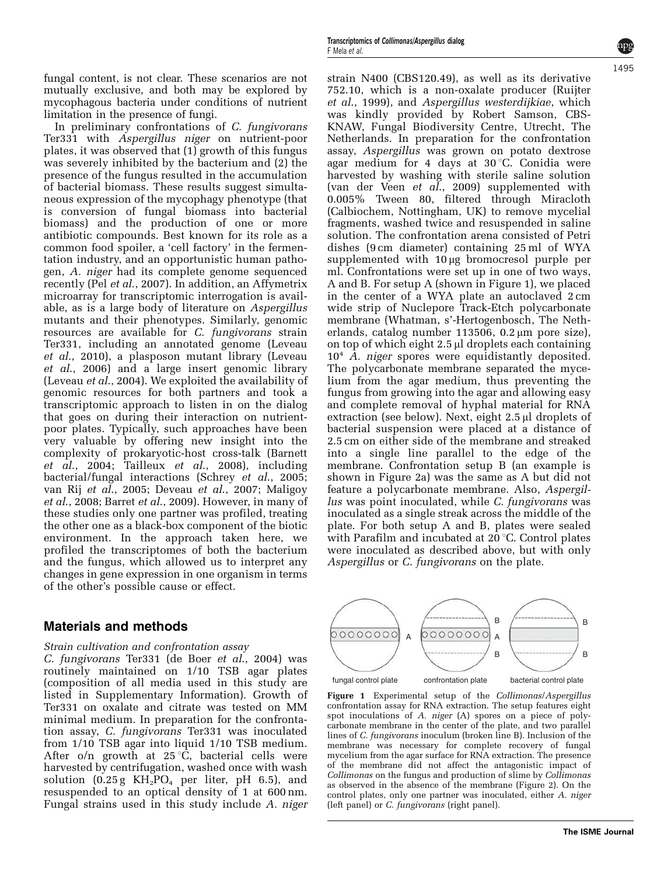1495

strain N400 (CBS120.49), as well as its derivative 752.10, which is a non-oxalate producer ([Ruijter](#page-10-0) et al[., 1999](#page-10-0)), and Aspergillus westerdijkiae, which was kindly provided by Robert Samson, CBS-KNAW, Fungal Biodiversity Centre, Utrecht, The Netherlands. In preparation for the confrontation assay, Aspergillus was grown on potato dextrose agar medium for 4 days at 30 °C. Conidia were harvested by washing with sterile saline solution [\(van der Veen](#page-10-0) et al., 2009) supplemented with 0.005% Tween 80, filtered through Miracloth (Calbiochem, Nottingham, UK) to remove mycelial fragments, washed twice and resuspended in saline solution. The confrontation arena consisted of Petri dishes (9 cm diameter) containing 25 ml of WYA supplemented with 10 µg bromocresol purple per ml. Confrontations were set up in one of two ways, A and B. For setup A (shown in Figure 1), we placed in the center of a WYA plate an autoclaved 2 cm wide strip of Nuclepore Track-Etch polycarbonate membrane (Whatman, s'-Hertogenbosch, The Netherlands, catalog number  $113506$ ,  $0.2 \mu m$  pore size), on top of which eight 2.5 µl droplets each containing  $10<sup>4</sup>$  A. niger spores were equidistantly deposited. The polycarbonate membrane separated the mycelium from the agar medium, thus preventing the fungus from growing into the agar and allowing easy and complete removal of hyphal material for RNA extraction (see below). Next, eight  $2.5 \mu$  droplets of bacterial suspension were placed at a distance of 2.5 cm on either side of the membrane and streaked into a single line parallel to the edge of the membrane. Confrontation setup B (an example is shown in [Figure 2a\)](#page-2-0) was the same as A but did not feature a polycarbonate membrane. Also, Aspergillus was point inoculated, while C. fungivorans was inoculated as a single streak across the middle of the plate. For both setup A and B, plates were sealed with Parafilm and incubated at  $20^{\circ}$ C. Control plates were inoculated as described above, but with only Aspergillus or C. fungivorans on the plate.



Figure 1 Experimental setup of the Collimonas/Aspergillus confrontation assay for RNA extraction. The setup features eight spot inoculations of A. niger (A) spores on a piece of polycarbonate membrane in the center of the plate, and two parallel lines of C. fungivorans inoculum (broken line B). Inclusion of the membrane was necessary for complete recovery of fungal mycelium from the agar surface for RNA extraction. The presence of the membrane did not affect the antagonistic impact of Collimonas on the fungus and production of slime by Collimonas as observed in the absence of the membrane ([Figure 2\)](#page-2-0). On the control plates, only one partner was inoculated, either A. niger (left panel) or C. fungivorans (right panel).

fungal content, is not clear. These scenarios are not mutually exclusive, and both may be explored by mycophagous bacteria under conditions of nutrient limitation in the presence of fungi.

In preliminary confrontations of C. fungivorans Ter331 with Aspergillus niger on nutrient-poor plates, it was observed that (1) growth of this fungus was severely inhibited by the bacterium and (2) the presence of the fungus resulted in the accumulation of bacterial biomass. These results suggest simultaneous expression of the mycophagy phenotype (that is conversion of fungal biomass into bacterial biomass) and the production of one or more antibiotic compounds. Best known for its role as a common food spoiler, a 'cell factory' in the fermentation industry, and an opportunistic human pathogen, A. niger had its complete genome sequenced recently (Pel et al[., 2007\)](#page-10-0). In addition, an Affymetrix microarray for transcriptomic interrogation is available, as is a large body of literature on Aspergillus mutants and their phenotypes. Similarly, genomic resources are available for C. fungivorans strain Ter331, including an annotated genome [\(Leveau](#page-9-0) et al[., 2010\)](#page-9-0), a plasposon mutant library [\(Leveau](#page-9-0) et al[., 2006](#page-9-0)) and a large insert genomic library [\(Leveau](#page-9-0) et al., 2004). We exploited the availability of genomic resources for both partners and took a transcriptomic approach to listen in on the dialog that goes on during their interaction on nutrientpoor plates. Typically, such approaches have been very valuable by offering new insight into the complexity of prokaryotic-host cross-talk ([Barnett](#page-8-0) et  $\overline{al}$ , 2004; [Tailleux](#page-10-0) et  $al$ , 2008), including bacterial/fungal interactions (Schrey et al[., 2005;](#page-10-0) [van Rij](#page-10-0) et al., 2005; [Deveau](#page-9-0) et al., 2007; [Maligoy](#page-9-0) et al[., 2008;](#page-9-0) Barret et al[., 2009](#page-8-0)). However, in many of these studies only one partner was profiled, treating the other one as a black-box component of the biotic environment. In the approach taken here, we profiled the transcriptomes of both the bacterium and the fungus, which allowed us to interpret any changes in gene expression in one organism in terms of the other's possible cause or effect.

## Materials and methods

## Strain cultivation and confrontation assay

C. fungivorans Ter331 [\(de Boer](#page-9-0) et al., 2004) was routinely maintained on 1/10 TSB agar plates (composition of all media used in this study are listed in Supplementary Information). Growth of Ter331 on oxalate and citrate was tested on MM minimal medium. In preparation for the confrontation assay, C. fungivorans Ter331 was inoculated from 1/10 TSB agar into liquid 1/10 TSB medium. After o/n growth at  $25^{\circ}C$ , bacterial cells were harvested by centrifugation, washed once with wash solution  $(0.25 g KH_2PO_4$  per liter, pH 6.5), and resuspended to an optical density of 1 at 600 nm. Fungal strains used in this study include A. niger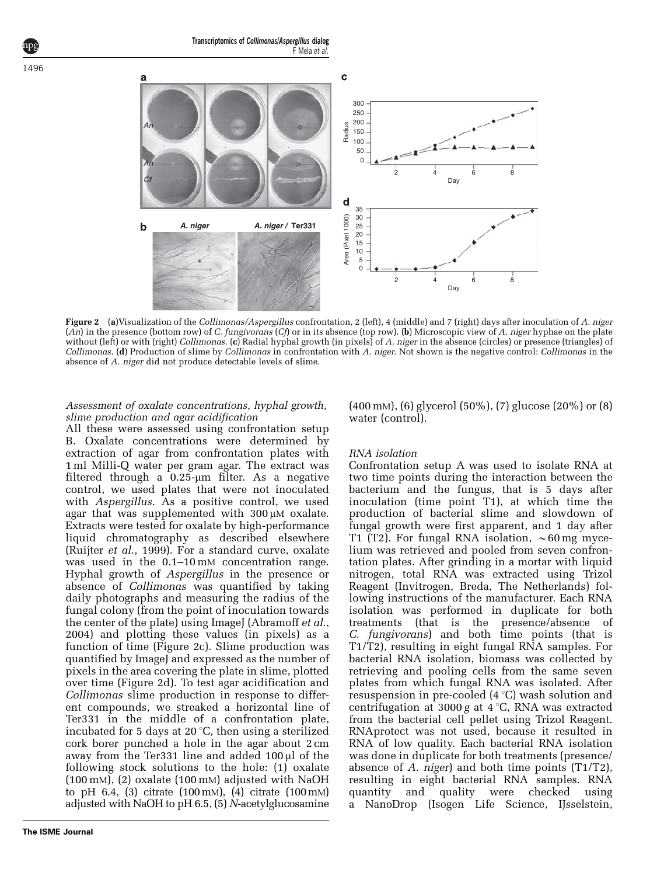<span id="page-2-0"></span>

Figure 2 (a)Visualization of the Collimonas/Aspergillus confrontation, 2 (left), 4 (middle) and 7 (right) days after inoculation of A. niger (An) in the presence (bottom row) of C. fungivorans (Cf) or in its absence (top row). (b) Microscopic view of A. niger hyphae on the plate without (left) or with (right) Collimonas. (c) Radial hyphal growth (in pixels) of A. niger in the absence (circles) or presence (triangles) of Collimonas. (d) Production of slime by Collimonas in confrontation with A. niger. Not shown is the negative control: Collimonas in the absence of A. niger did not produce detectable levels of slime.

## Assessment of oxalate concentrations, hyphal growth, slime production and agar acidification

All these were assessed using confrontation setup B. Oxalate concentrations were determined by extraction of agar from confrontation plates with 1 ml Milli-Q water per gram agar. The extract was filtered through a  $0.25$ -µm filter. As a negative control, we used plates that were not inoculated with *Aspergillus*. As a positive control, we used agar that was supplemented with  $300 \mu M$  oxalate. Extracts were tested for oxalate by high-performance liquid chromatography as described elsewhere (Ruijter et al[., 1999\)](#page-10-0). For a standard curve, oxalate was used in the  $0.1-10 \text{ mM}$  concentration range. Hyphal growth of Aspergillus in the presence or absence of Collimonas was quantified by taking daily photographs and measuring the radius of the fungal colony (from the point of inoculation towards the center of the plate) using ImageJ ([Abramoff](#page-8-0) et al., [2004\)](#page-8-0) and plotting these values (in pixels) as a function of time (Figure 2c). Slime production was quantified by ImageJ and expressed as the number of pixels in the area covering the plate in slime, plotted over time (Figure 2d). To test agar acidification and Collimonas slime production in response to different compounds, we streaked a horizontal line of Ter331 in the middle of a confrontation plate, incubated for 5 days at 20 $\degree$ C, then using a sterilized cork borer punched a hole in the agar about 2 cm away from the Ter331 line and added  $100 \mu l$  of the following stock solutions to the hole: (1) oxalate (100 mM), (2) oxalate (100 mM) adjusted with NaOH to pH 6.4, (3) citrate (100mM), (4) citrate (100mM) adjusted with NaOH to pH 6.5, (5) N-acetylglucosamine

(400 mM), (6) glycerol (50%), (7) glucose (20%) or (8) water (control).

## RNA isolation

Confrontation setup A was used to isolate RNA at two time points during the interaction between the bacterium and the fungus, that is 5 days after inoculation (time point T1), at which time the production of bacterial slime and slowdown of fungal growth were first apparent, and 1 day after T1 (T2). For fungal RNA isolation,  $\sim 60$  mg mycelium was retrieved and pooled from seven confrontation plates. After grinding in a mortar with liquid nitrogen, total RNA was extracted using Trizol Reagent (Invitrogen, Breda, The Netherlands) following instructions of the manufacturer. Each RNA isolation was performed in duplicate for both treatments (that is the presence/absence of C. fungivorans) and both time points (that is T1/T2), resulting in eight fungal RNA samples. For bacterial RNA isolation, biomass was collected by retrieving and pooling cells from the same seven plates from which fungal RNA was isolated. After resuspension in pre-cooled  $(4 \degree C)$  wash solution and centrifugation at  $3000 g$  at  $4^{\circ}$ C, RNA was extracted from the bacterial cell pellet using Trizol Reagent. RNAprotect was not used, because it resulted in RNA of low quality. Each bacterial RNA isolation was done in duplicate for both treatments (presence/ absence of A. niger) and both time points (T1/T2), resulting in eight bacterial RNA samples. RNA quantity and quality were checked using a NanoDrop (Isogen Life Science, IJsselstein,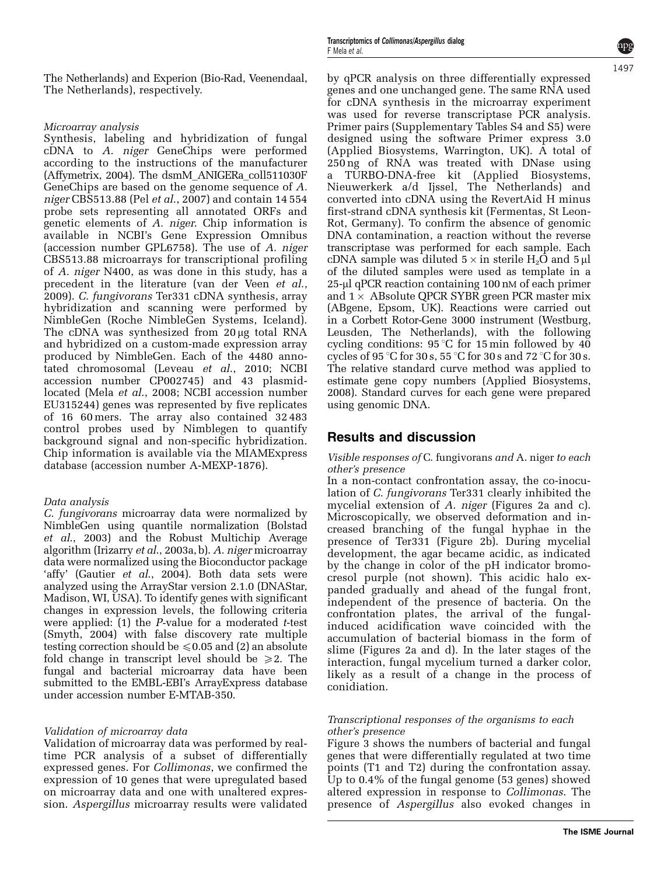The Netherlands) and Experion (Bio-Rad, Veenendaal, The Netherlands), respectively.

## Microarray analysis

Synthesis, labeling and hybridization of fungal cDNA to A. niger GeneChips were performed according to the instructions of the manufacturer (Affymetrix, 2004). The dsmM\_ANIGERa\_coll511030F GeneChips are based on the genome sequence of A. niger CBS513.88 (Pel et al[., 2007](#page-10-0)) and contain 14 554 probe sets representing all annotated ORFs and genetic elements of A. niger. Chip information is available in NCBI's Gene Expression Omnibus (accession number GPL6758). The use of A. niger CBS513.88 microarrays for transcriptional profiling of A. niger N400, as was done in this study, has a precedent in the literature [\(van der Veen](#page-10-0) et al., [2009\)](#page-10-0). C. fungivorans Ter331 cDNA synthesis, array hybridization and scanning were performed by NimbleGen (Roche NimbleGen Systems, Iceland). The cDNA was synthesized from 20 µg total RNA and hybridized on a custom-made expression array produced by NimbleGen. Each of the 4480 annotated chromosomal (Leveau et al[., 2010;](#page-9-0) NCBI accession number CP002745) and 43 plasmidlocated (Mela et al[., 2008;](#page-9-0) NCBI accession number EU315244) genes was represented by five replicates of 16 60 mers. The array also contained 32 483 control probes used by Nimblegen to quantify background signal and non-specific hybridization. Chip information is available via the MIAMExpress database (accession number A-MEXP-1876).

## Data analysis

C. fungivorans microarray data were normalized by NimbleGen using quantile normalization [\(Bolstad](#page-8-0) et al[., 2003](#page-8-0)) and the Robust Multichip Average algorithm (Irizarry et al[., 2003a, b](#page-9-0)). A. niger microarray data were normalized using the Bioconductor package 'affy' (Gautier et al[., 2004\)](#page-9-0). Both data sets were analyzed using the ArrayStar version 2.1.0 (DNAStar, Madison, WI, USA). To identify genes with significant changes in expression levels, the following criteria were applied:  $(1)$  the *P*-value for a moderated *t*-test [\(Smyth, 2004\)](#page-10-0) with false discovery rate multiple testing correction should be  $\leq 0.05$  and (2) an absolute fold change in transcript level should be  $\geq 2$ . The fungal and bacterial microarray data have been submitted to the EMBL-EBI's ArrayExpress database under accession number E-MTAB-350.

## Validation of microarray data

Validation of microarray data was performed by realtime PCR analysis of a subset of differentially expressed genes. For Collimonas, we confirmed the expression of 10 genes that were upregulated based on microarray data and one with unaltered expression. Aspergillus microarray results were validated

by qPCR analysis on three differentially expressed genes and one unchanged gene. The same RNA used for cDNA synthesis in the microarray experiment was used for reverse transcriptase PCR analysis. Primer pairs (Supplementary Tables S4 and S5) were designed using the software Primer express 3.0 (Applied Biosystems, Warrington, UK). A total of 250 ng of RNA was treated with DNase using a TURBO-DNA-free kit (Applied Biosystems, Nieuwerkerk a/d Ijssel, The Netherlands) and converted into cDNA using the RevertAid H minus first-strand cDNA synthesis kit (Fermentas, St Leon-Rot, Germany). To confirm the absence of genomic DNA contamination, a reaction without the reverse transcriptase was performed for each sample. Each cDNA sample was diluted  $5 \times$  in sterile H<sub>2</sub>O and  $5 \mu$ of the diluted samples were used as template in a 25-µl qPCR reaction containing 100 nM of each primer and 1  $\times$  ABsolute QPCR SYBR green PCR master mix (ABgene, Epsom, UK). Reactions were carried out in a Corbett Rotor-Gene 3000 instrument (Westburg, Leusden, The Netherlands), with the following cycling conditions:  $95^{\circ}$ C for 15 min followed by 40 cycles of 95 °C for 30 s, 55 °C for 30 s and 72 °C for 30 s. The relative standard curve method was applied to estimate gene copy numbers ([Applied Biosystems,](#page-8-0) [2008](#page-8-0)). Standard curves for each gene were prepared using genomic DNA.

# Results and discussion

## Visible responses of C. fungivorans and A. niger to each other's presence

In a non-contact confrontation assay, the co-inoculation of C. fungivorans Ter331 clearly inhibited the mycelial extension of A. niger [\(Figures 2a and c\)](#page-2-0). Microscopically, we observed deformation and increased branching of the fungal hyphae in the presence of Ter331 [\(Figure 2b](#page-2-0)). During mycelial development, the agar became acidic, as indicated by the change in color of the pH indicator bromocresol purple (not shown). This acidic halo expanded gradually and ahead of the fungal front, independent of the presence of bacteria. On the confrontation plates, the arrival of the fungalinduced acidification wave coincided with the accumulation of bacterial biomass in the form of slime [\(Figures 2a and d\)](#page-2-0). In the later stages of the interaction, fungal mycelium turned a darker color, likely as a result of a change in the process of conidiation.

## Transcriptional responses of the organisms to each other's presence

[Figure 3](#page-4-0) shows the numbers of bacterial and fungal genes that were differentially regulated at two time points (T1 and T2) during the confrontation assay. Up to 0.4% of the fungal genome (53 genes) showed altered expression in response to Collimonas. The presence of Aspergillus also evoked changes in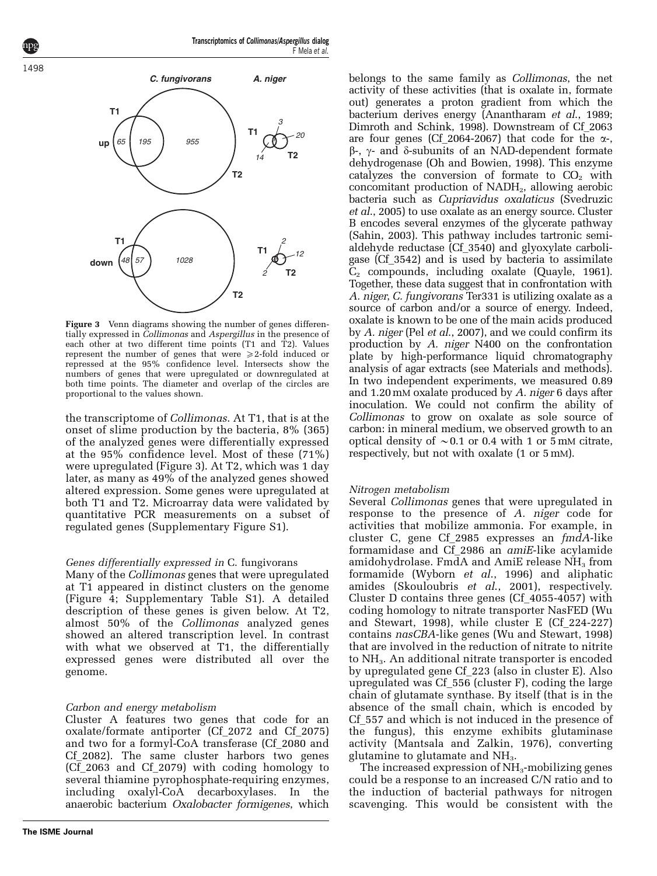Transcriptomics of Collimonas/Aspergillus dialog F Mela et al.

<span id="page-4-0"></span>



Figure 3 Venn diagrams showing the number of genes differentially expressed in Collimonas and Aspergillus in the presence of each other at two different time points (T1 and T2). Values represent the number of genes that were  $\geq 2$ -fold induced or repressed at the 95% confidence level. Intersects show the numbers of genes that were upregulated or downregulated at both time points. The diameter and overlap of the circles are proportional to the values shown.

the transcriptome of Collimonas. At T1, that is at the onset of slime production by the bacteria, 8% (365) of the analyzed genes were differentially expressed at the 95% confidence level. Most of these (71%) were upregulated (Figure 3). At T2, which was 1 day later, as many as 49% of the analyzed genes showed altered expression. Some genes were upregulated at both T1 and T2. Microarray data were validated by quantitative PCR measurements on a subset of regulated genes (Supplementary Figure S1).

## Genes differentially expressed in C. fungivorans

Many of the Collimonas genes that were upregulated at T1 appeared in distinct clusters on the genome ([Figure 4](#page-5-0); Supplementary Table S1). A detailed description of these genes is given below. At T2, almost 50% of the Collimonas analyzed genes showed an altered transcription level. In contrast with what we observed at T1, the differentially expressed genes were distributed all over the genome.

## Carbon and energy metabolism

Cluster A features two genes that code for an oxalate/formate antiporter (Cf\_2072 and Cf\_2075) and two for a formyl-CoA transferase (Cf\_2080 and Cf\_2082). The same cluster harbors two genes (Cf\_2063 and Cf\_2079) with coding homology to several thiamine pyrophosphate-requiring enzymes, including oxalyl-CoA decarboxylases. In the anaerobic bacterium Oxalobacter formigenes, which belongs to the same family as Collimonas, the net activity of these activities (that is oxalate in, formate out) generates a proton gradient from which the bacterium derives energy [\(Anantharam](#page-8-0) et al., 1989; [Dimroth and Schink, 1998](#page-9-0)). Downstream of Cf\_2063 are four genes (Cf 2064-2067) that code for the  $\alpha$ - $\beta$ -,  $\gamma$ - and  $\delta$ -subunits of an NAD-dependent formate dehydrogenase ([Oh and Bowien, 1998](#page-10-0)). This enzyme catalyzes the conversion of formate to  $CO<sub>2</sub>$  with concomitant production of  $NADH<sub>2</sub>$ , allowing aerobic bacteria such as Cupriavidus oxalaticus [\(Svedruzic](#page-10-0) et al[., 2005](#page-10-0)) to use oxalate as an energy source. Cluster B encodes several enzymes of the glycerate pathway ([Sahin, 2003](#page-10-0)). This pathway includes tartronic semialdehyde reductase (Cf\_3540) and glyoxylate carboligase (Cf\_3542) and is used by bacteria to assimilate C2 compounds, including oxalate [\(Quayle, 1961\)](#page-10-0). Together, these data suggest that in confrontation with A. niger, C. fungivorans Ter331 is utilizing oxalate as a source of carbon and/or a source of energy. Indeed, oxalate is known to be one of the main acids produced by A. niger (Pel et al[., 2007\)](#page-10-0), and we could confirm its production by A. niger N400 on the confrontation plate by high-performance liquid chromatography analysis of agar extracts (see Materials and methods). In two independent experiments, we measured 0.89 and 1.20 mM oxalate produced by A. niger 6 days after inoculation. We could not confirm the ability of Collimonas to grow on oxalate as sole source of carbon: in mineral medium, we observed growth to an optical density of  $\sim 0.1$  or 0.4 with 1 or 5 mM citrate, respectively, but not with oxalate (1 or 5 mM).

## Nitrogen metabolism

Several Collimonas genes that were upregulated in response to the presence of A. niger code for activities that mobilize ammonia. For example, in cluster C, gene Cf\_2985 expresses an fmdA-like formamidase and Cf\_2986 an amiE-like acylamide amidohydrolase. FmdA and AmiE release  $NH<sub>3</sub>$  from formamide ([Wyborn](#page-10-0) et al., 1996) and aliphatic amides [\(Skouloubris](#page-10-0) et al., 2001), respectively. Cluster D contains three genes (Cf\_4055-4057) with coding homology to nitrate transporter NasFED ([Wu](#page-10-0) [and Stewart, 1998](#page-10-0)), while cluster E (Cf\_224-227) contains nasCBA-like genes [\(Wu and Stewart, 1998](#page-10-0)) that are involved in the reduction of nitrate to nitrite to  $NH<sub>3</sub>$ . An additional nitrate transporter is encoded by upregulated gene Cf\_223 (also in cluster E). Also upregulated was Cf\_556 (cluster F), coding the large chain of glutamate synthase. By itself (that is in the absence of the small chain, which is encoded by Cf\_557 and which is not induced in the presence of the fungus), this enzyme exhibits glutaminase activity ([Mantsala and Zalkin, 1976](#page-9-0)), converting glutamine to glutamate and  $NH<sub>3</sub>$ .

The increased expression of  $NH<sub>3</sub>$ -mobilizing genes could be a response to an increased C/N ratio and to the induction of bacterial pathways for nitrogen scavenging. This would be consistent with the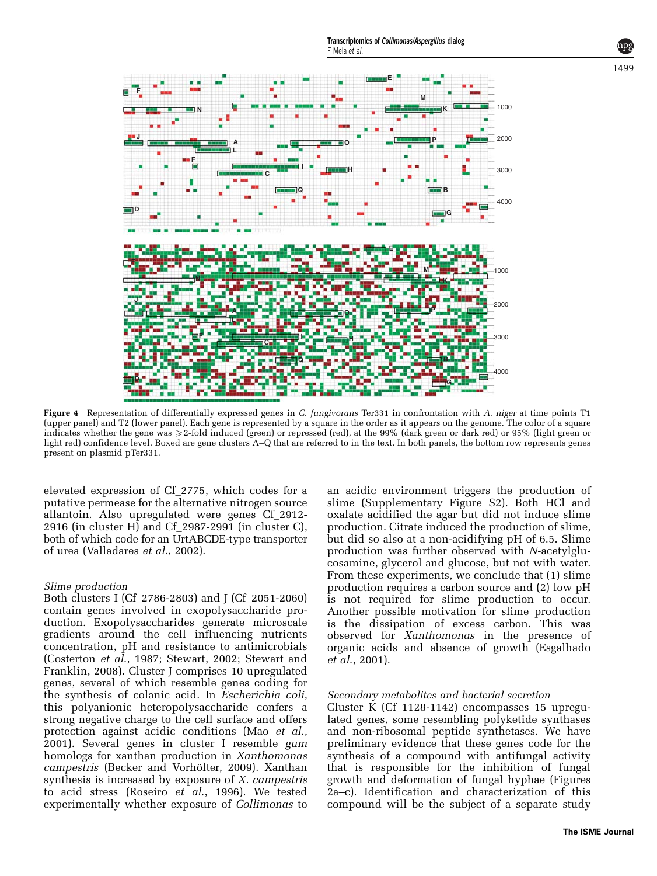<span id="page-5-0"></span>

Figure 4 Representation of differentially expressed genes in C. fungivorans Ter331 in confrontation with A. niger at time points T1 (upper panel) and T2 (lower panel). Each gene is represented by a square in the order as it appears on the genome. The color of a square indicates whether the gene was  $\geq$  2-fold induced (green) or repressed (red), at the 99% (dark green or dark red) or 95% (light green or light red) confidence level. Boxed are gene clusters A–Q that are referred to in the text. In both panels, the bottom row represents genes present on plasmid pTer331.

elevated expression of Cf\_2775, which codes for a putative permease for the alternative nitrogen source allantoin. Also upregulated were genes Cf\_2912- 2916 (in cluster H) and Cf  $2987-2991$  (in cluster C), both of which code for an UrtABCDE-type transporter of urea [\(Valladares](#page-10-0) et al., 2002).

#### Slime production

Both clusters I (Cf\_2786-2803) and J (Cf\_2051-2060) contain genes involved in exopolysaccharide production. Exopolysaccharides generate microscale gradients around the cell influencing nutrients concentration, pH and resistance to antimicrobials [\(Costerton](#page-9-0) et al., 1987; [Stewart, 2002](#page-10-0); [Stewart and](#page-10-0) [Franklin, 2008](#page-10-0)). Cluster J comprises 10 upregulated genes, several of which resemble genes coding for the synthesis of colanic acid. In Escherichia coli, this polyanionic heteropolysaccharide confers a strong negative charge to the cell surface and offers protection against acidic conditions (Mao [et al](#page-9-0)., [2001\)](#page-9-0). Several genes in cluster I resemble gum homologs for xanthan production in Xanthomonas campestris (Becker and Vorhölter, 2009). Xanthan synthesis is increased by exposure of X. campestris to acid stress (Roseiro et al[., 1996](#page-10-0)). We tested experimentally whether exposure of Collimonas to

an acidic environment triggers the production of slime (Supplementary Figure S2). Both HCl and oxalate acidified the agar but did not induce slime production. Citrate induced the production of slime, but did so also at a non-acidifying pH of 6.5. Slime production was further observed with N-acetylglucosamine, glycerol and glucose, but not with water. From these experiments, we conclude that (1) slime production requires a carbon source and (2) low pH is not required for slime production to occur. Another possible motivation for slime production is the dissipation of excess carbon. This was observed for Xanthomonas in the presence of organic acids and absence of growth [\(Esgalhado](#page-9-0) et al[., 2001\)](#page-9-0).

#### Secondary metabolites and bacterial secretion

Cluster K (Cf\_1128-1142) encompasses 15 upregulated genes, some resembling polyketide synthases and non-ribosomal peptide synthetases. We have preliminary evidence that these genes code for the synthesis of a compound with antifungal activity that is responsible for the inhibition of fungal growth and deformation of fungal hyphae ([Figures](#page-2-0) [2a–c\)](#page-2-0). Identification and characterization of this compound will be the subject of a separate study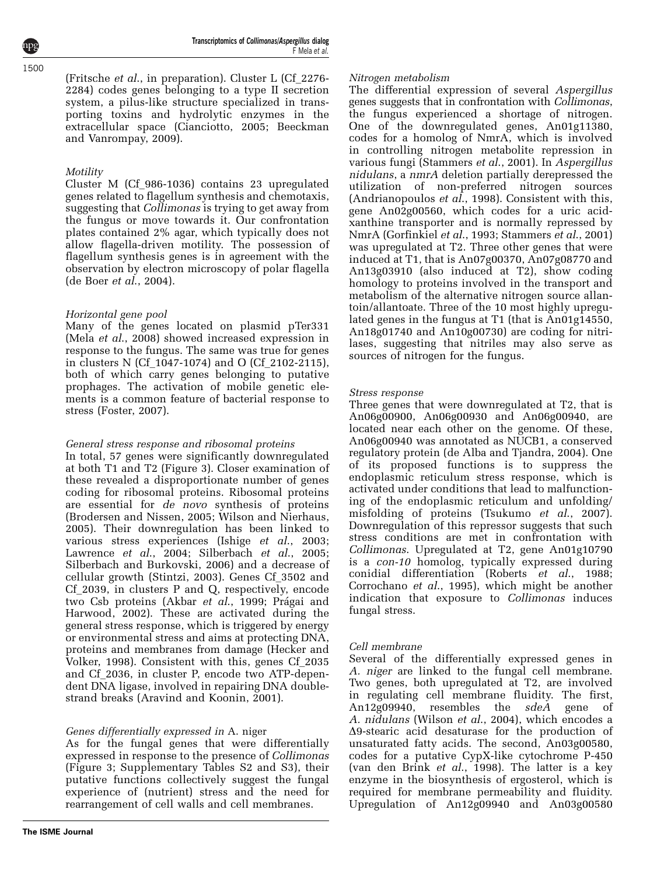(Fritsche et al., in preparation). Cluster L (Cf\_2276- 2284) codes genes belonging to a type II secretion system, a pilus-like structure specialized in transporting toxins and hydrolytic enzymes in the extracellular space [\(Cianciotto, 2005; Beeckman](#page-8-0) [and Vanrompay, 2009\)](#page-8-0).

## **Motility**

Cluster M (Cf\_986-1036) contains 23 upregulated genes related to flagellum synthesis and chemotaxis, suggesting that Collimonas is trying to get away from the fungus or move towards it. Our confrontation plates contained 2% agar, which typically does not allow flagella-driven motility. The possession of flagellum synthesis genes is in agreement with the observation by electron microscopy of polar flagella ([de Boer](#page-9-0) et al., 2004).

## Horizontal gene pool

Many of the genes located on plasmid pTer331 (Mela et al[., 2008\)](#page-9-0) showed increased expression in response to the fungus. The same was true for genes in clusters N (Cf\_1047-1074) and O (Cf\_2102-2115), both of which carry genes belonging to putative prophages. The activation of mobile genetic elements is a common feature of bacterial response to stress ([Foster, 2007\)](#page-9-0).

## General stress response and ribosomal proteins

In total, 57 genes were significantly downregulated at both T1 and T2 ([Figure 3\)](#page-4-0). Closer examination of these revealed a disproportionate number of genes coding for ribosomal proteins. Ribosomal proteins are essential for de novo synthesis of proteins ([Brodersen and Nissen, 2005](#page-8-0); [Wilson and Nierhaus,](#page-10-0) [2005\)](#page-10-0). Their downregulation has been linked to various stress experiences (Ishige et al[., 2003;](#page-9-0) [Lawrence](#page-9-0) et al., 2004; [Silberbach](#page-10-0) et al., 2005; [Silberbach and Burkovski, 2006\)](#page-10-0) and a decrease of cellular growth [\(Stintzi, 2003\)](#page-10-0). Genes Cf\_3502 and Cf\_2039, in clusters P and Q, respectively, encode two Csb proteins (Akbar et al[., 1999](#page-8-0); Prágai and [Harwood, 2002\)](#page-10-0). These are activated during the general stress response, which is triggered by energy or environmental stress and aims at protecting DNA, proteins and membranes from damage [\(Hecker and](#page-9-0) [Volker, 1998\)](#page-9-0). Consistent with this, genes Cf\_2035 and Cf\_2036, in cluster P, encode two ATP-dependent DNA ligase, involved in repairing DNA doublestrand breaks ([Aravind and Koonin, 2001](#page-8-0)).

## Genes differentially expressed in A. niger

As for the fungal genes that were differentially expressed in response to the presence of Collimonas ([Figure 3](#page-4-0); Supplementary Tables S2 and S3), their putative functions collectively suggest the fungal experience of (nutrient) stress and the need for rearrangement of cell walls and cell membranes.

## Nitrogen metabolism

The differential expression of several Aspergillus genes suggests that in confrontation with Collimonas, the fungus experienced a shortage of nitrogen. One of the downregulated genes, An01g11380, codes for a homolog of NmrA, which is involved in controlling nitrogen metabolite repression in various fungi [\(Stammers](#page-10-0) et al., 2001). In Aspergillus nidulans, a nmrA deletion partially derepressed the utilization of non-preferred nitrogen sources ([Andrianopoulos](#page-8-0) et al., 1998). Consistent with this, gene An02g00560, which codes for a uric acidxanthine transporter and is normally repressed by NmrA ([Gorfinkiel](#page-9-0) et al., 1993; [Stammers](#page-10-0) et al., 2001) was upregulated at T2. Three other genes that were induced at T1, that is An07g00370, An07g08770 and An13g03910 (also induced at T2), show coding homology to proteins involved in the transport and metabolism of the alternative nitrogen source allantoin/allantoate. Three of the 10 most highly upregulated genes in the fungus at T1 (that is An01g14550, An18g01740 and An10g00730) are coding for nitrilases, suggesting that nitriles may also serve as sources of nitrogen for the fungus.

## Stress response

Three genes that were downregulated at T2, that is An06g00900, An06g00930 and An06g00940, are located near each other on the genome. Of these, An06g00940 was annotated as NUCB1, a conserved regulatory protein [\(de Alba and Tjandra, 2004\)](#page-9-0). One of its proposed functions is to suppress the endoplasmic reticulum stress response, which is activated under conditions that lead to malfunctioning of the endoplasmic reticulum and unfolding/ misfolding of proteins [\(Tsukumo](#page-10-0) et al., 2007). Downregulation of this repressor suggests that such stress conditions are met in confrontation with Collimonas. Upregulated at T2, gene An01g10790 is a con-10 homolog, typically expressed during conidial differentiation (Roberts et al[., 1988;](#page-10-0) [Corrochano](#page-8-0) et al., 1995), which might be another indication that exposure to Collimonas induces fungal stress.

## Cell membrane

Several of the differentially expressed genes in A. niger are linked to the fungal cell membrane. Two genes, both upregulated at T2, are involved in regulating cell membrane fluidity. The first, An12g09940, resembles the sdeA gene of A. nidulans ([Wilson](#page-10-0) et al., 2004), which encodes a  $\Delta$ 9-stearic acid desaturase for the production of unsaturated fatty acids. The second, An03g00580, codes for a putative CypX-like cytochrome P-450 ([van den Brink](#page-10-0) et al., 1998). The latter is a key enzyme in the biosynthesis of ergosterol, which is required for membrane permeability and fluidity. Upregulation of An12g09940 and An03g00580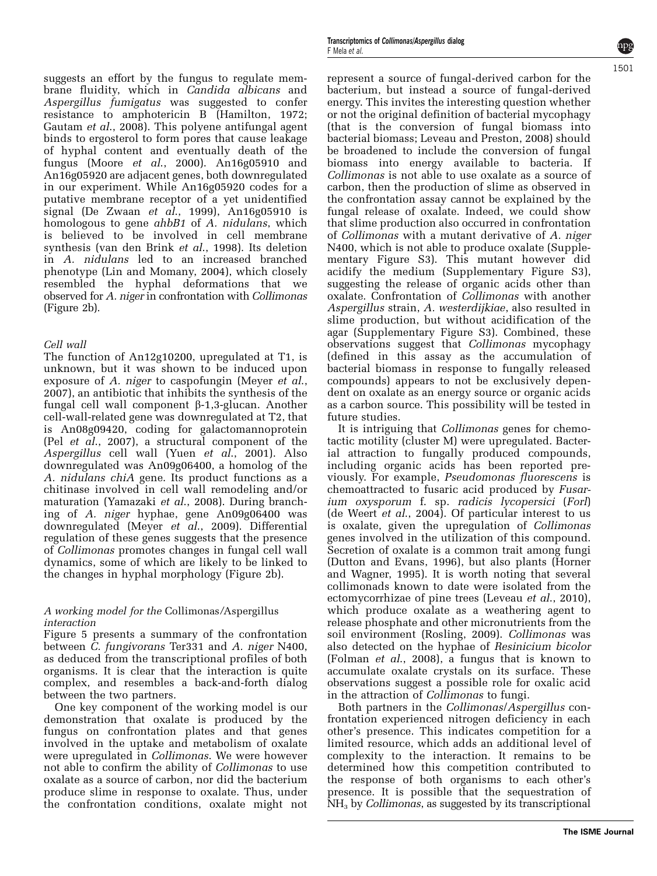suggests an effort by the fungus to regulate membrane fluidity, which in Candida albicans and Aspergillus fumigatus was suggested to confer resistance to amphotericin B [\(Hamilton, 1972;](#page-9-0) [Gautam](#page-9-0) et al., 2008). This polyene antifungal agent binds to ergosterol to form pores that cause leakage of hyphal content and eventually death of the fungus (Moore *et al.*, 2000). An16g05910 and An16g05920 are adjacent genes, both downregulated in our experiment. While An16g05920 codes for a putative membrane receptor of a yet unidentified signal [\(De Zwaan](#page-9-0) et al., 1999), An16g05910 is homologous to gene ahbB1 of A. nidulans, which is believed to be involved in cell membrane synthesis [\(van den Brink](#page-10-0) et al., 1998). Its deletion in A. nidulans led to an increased branched phenotype ([Lin and Momany, 2004](#page-9-0)), which closely resembled the hyphal deformations that we observed for A. niger in confrontation with Collimonas [\(Figure 2b\)](#page-2-0).

## Cell wall

The function of An12g10200, upregulated at T1, is unknown, but it was shown to be induced upon exposure of A. niger to caspofungin ([Meyer](#page-10-0) et al., [2007\)](#page-10-0), an antibiotic that inhibits the synthesis of the fungal cell wall component b-1,3-glucan. Another cell-wall-related gene was downregulated at T2, that is An08g09420, coding for galactomannoprotein (Pel et al[., 2007](#page-10-0)), a structural component of the Aspergillus cell wall (Yuen et al[., 2001](#page-10-0)). Also downregulated was An09g06400, a homolog of the A. nidulans chiA gene. Its product functions as a chitinase involved in cell wall remodeling and/or maturation [\(Yamazaki](#page-10-0) et al., 2008). During branching of A. niger hyphae, gene An09g06400 was downregulated (Meyer et al[., 2009\)](#page-9-0). Differential regulation of these genes suggests that the presence of Collimonas promotes changes in fungal cell wall dynamics, some of which are likely to be linked to the changes in hyphal morphology ([Figure 2b\)](#page-2-0).

#### A working model for the Collimonas/Aspergillus interaction

[Figure 5](#page-8-0) presents a summary of the confrontation between *C. fungivorans* Ter331 and *A. niger* N400, as deduced from the transcriptional profiles of both organisms. It is clear that the interaction is quite complex, and resembles a back-and-forth dialog between the two partners.

One key component of the working model is our demonstration that oxalate is produced by the fungus on confrontation plates and that genes involved in the uptake and metabolism of oxalate were upregulated in Collimonas. We were however not able to confirm the ability of Collimonas to use oxalate as a source of carbon, nor did the bacterium produce slime in response to oxalate. Thus, under the confrontation conditions, oxalate might not

represent a source of fungal-derived carbon for the bacterium, but instead a source of fungal-derived energy. This invites the interesting question whether or not the original definition of bacterial mycophagy (that is the conversion of fungal biomass into bacterial biomass; [Leveau and Preston, 2008](#page-9-0)) should be broadened to include the conversion of fungal biomass into energy available to bacteria. If Collimonas is not able to use oxalate as a source of carbon, then the production of slime as observed in the confrontation assay cannot be explained by the fungal release of oxalate. Indeed, we could show that slime production also occurred in confrontation of Collimonas with a mutant derivative of A. niger N400, which is not able to produce oxalate (Supplementary Figure S3). This mutant however did acidify the medium (Supplementary Figure S3), suggesting the release of organic acids other than oxalate. Confrontation of Collimonas with another Aspergillus strain, A. westerdijkiae, also resulted in slime production, but without acidification of the agar (Supplementary Figure S3). Combined, these observations suggest that Collimonas mycophagy (defined in this assay as the accumulation of bacterial biomass in response to fungally released compounds) appears to not be exclusively dependent on oxalate as an energy source or organic acids as a carbon source. This possibility will be tested in future studies.

It is intriguing that Collimonas genes for chemotactic motility (cluster M) were upregulated. Bacterial attraction to fungally produced compounds, including organic acids has been reported previously. For example, Pseudomonas fluorescens is chemoattracted to fusaric acid produced by Fusarium oxysporum f. sp. radicis lycopersici (Forl) [\(de Weert](#page-9-0) et al., 2004). Of particular interest to us is oxalate, given the upregulation of Collimonas genes involved in the utilization of this compound. Secretion of oxalate is a common trait among fungi [\(Dutton and Evans, 1996\)](#page-9-0), but also plants ([Horner](#page-9-0) [and Wagner, 1995\)](#page-9-0). It is worth noting that several collimonads known to date were isolated from the ectomycorrhizae of pine trees [\(Leveau](#page-9-0) et al., 2010), which produce oxalate as a weathering agent to release phosphate and other micronutrients from the soil environment ([Rosling, 2009\)](#page-10-0). Collimonas was also detected on the hyphae of Resinicium bicolor [\(Folman](#page-9-0) et al., 2008), a fungus that is known to accumulate oxalate crystals on its surface. These observations suggest a possible role for oxalic acid in the attraction of Collimonas to fungi.

Both partners in the Collimonas/Aspergillus confrontation experienced nitrogen deficiency in each other's presence. This indicates competition for a limited resource, which adds an additional level of complexity to the interaction. It remains to be determined how this competition contributed to the response of both organisms to each other's presence. It is possible that the sequestration of  $NH<sub>3</sub>$  by *Collimonas*, as suggested by its transcriptional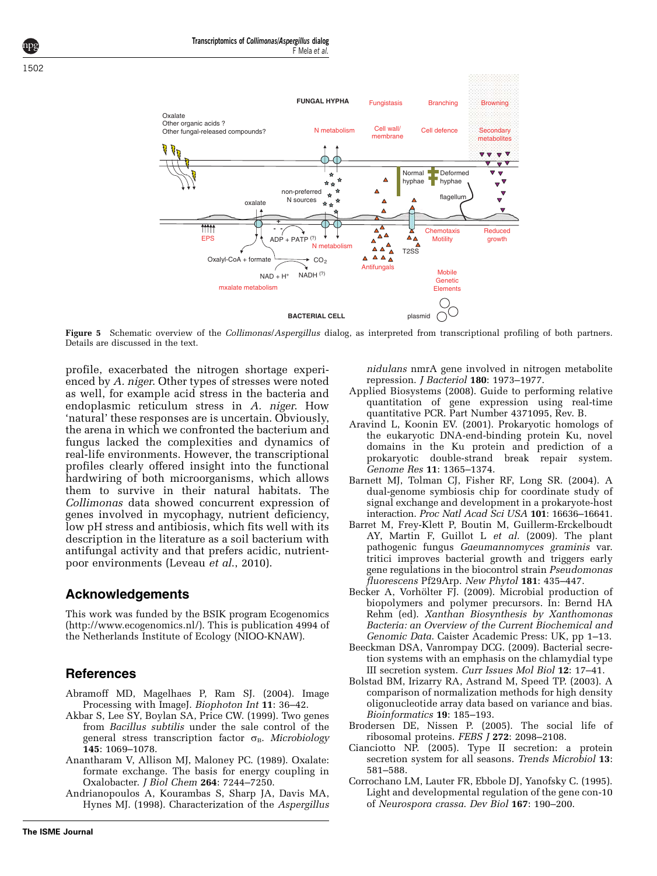Transcriptomics of Collimonas/Aspergillus dialog

<span id="page-8-0"></span>

Figure 5 Schematic overview of the Collimonas/Aspergillus dialog, as interpreted from transcriptional profiling of both partners. Details are discussed in the text.

profile, exacerbated the nitrogen shortage experienced by A. niger. Other types of stresses were noted as well, for example acid stress in the bacteria and endoplasmic reticulum stress in A. niger. How 'natural' these responses are is uncertain. Obviously, the arena in which we confronted the bacterium and fungus lacked the complexities and dynamics of real-life environments. However, the transcriptional profiles clearly offered insight into the functional hardwiring of both microorganisms, which allows them to survive in their natural habitats. The Collimonas data showed concurrent expression of genes involved in mycophagy, nutrient deficiency, low pH stress and antibiosis, which fits well with its description in the literature as a soil bacterium with antifungal activity and that prefers acidic, nutrientpoor environments ([Leveau](#page-9-0) et al., 2010).

## Acknowledgements

This work was funded by the BSIK program Ecogenomics [\(http://www.ecogenomics.nl/](http://www.ecogenomics.nl/)). This is publication 4994 of the Netherlands Institute of Ecology (NIOO-KNAW).

# References

- Abramoff MD, Magelhaes P, Ram SJ. (2004). Image Processing with ImageJ. Biophoton Int 11: 36–42.
- Akbar S, Lee SY, Boylan SA, Price CW. (1999). Two genes from Bacillus subtilis under the sale control of the general stress transcription factor  $\sigma_B$ . Microbiology 145: 1069–1078.
- Anantharam V, Allison MJ, Maloney PC. (1989). Oxalate: formate exchange. The basis for energy coupling in Oxalobacter. J Biol Chem 264: 7244–7250.
- Andrianopoulos A, Kourambas S, Sharp JA, Davis MA, Hynes MJ. (1998). Characterization of the Aspergillus

nidulans nmrA gene involved in nitrogen metabolite repression. J Bacteriol 180: 1973–1977.

- Applied Biosystems (2008). Guide to performing relative quantitation of gene expression using real-time quantitative PCR. Part Number 4371095, Rev. B.
- Aravind L, Koonin EV. (2001). Prokaryotic homologs of the eukaryotic DNA-end-binding protein Ku, novel domains in the Ku protein and prediction of a prokaryotic double-strand break repair system. Genome Res 11: 1365–1374.
- Barnett MJ, Tolman CJ, Fisher RF, Long SR. (2004). A dual-genome symbiosis chip for coordinate study of signal exchange and development in a prokaryote-host interaction. Proc Natl Acad Sci USA 101: 16636–16641.
- Barret M, Frey-Klett P, Boutin M, Guillerm-Erckelboudt AY, Martin F, Guillot L et al. (2009). The plant pathogenic fungus Gaeumannomyces graminis var. tritici improves bacterial growth and triggers early gene regulations in the biocontrol strain Pseudomonas fluorescens Pf29Arp. New Phytol 181: 435–447.
- Becker A, Vorhölter FJ. (2009). Microbial production of biopolymers and polymer precursors. In: Bernd HA Rehm (ed). Xanthan Biosynthesis by Xanthomonas Bacteria: an Overview of the Current Biochemical and Genomic Data. Caister Academic Press: UK, pp 1–13.
- Beeckman DSA, Vanrompay DCG. (2009). Bacterial secretion systems with an emphasis on the chlamydial type III secretion system. Curr Issues Mol Biol 12: 17–41.
- Bolstad BM, Irizarry RA, Astrand M, Speed TP. (2003). A comparison of normalization methods for high density oligonucleotide array data based on variance and bias. Bioinformatics 19: 185–193.
- Brodersen DE, Nissen P. (2005). The social life of ribosomal proteins. FEBS J 272: 2098–2108.
- Cianciotto NP. (2005). Type II secretion: a protein secretion system for all seasons. Trends Microbiol 13: 581–588.
- Corrochano LM, Lauter FR, Ebbole DJ, Yanofsky C. (1995). Light and developmental regulation of the gene con-10 of Neurospora crassa. Dev Biol 167: 190–200.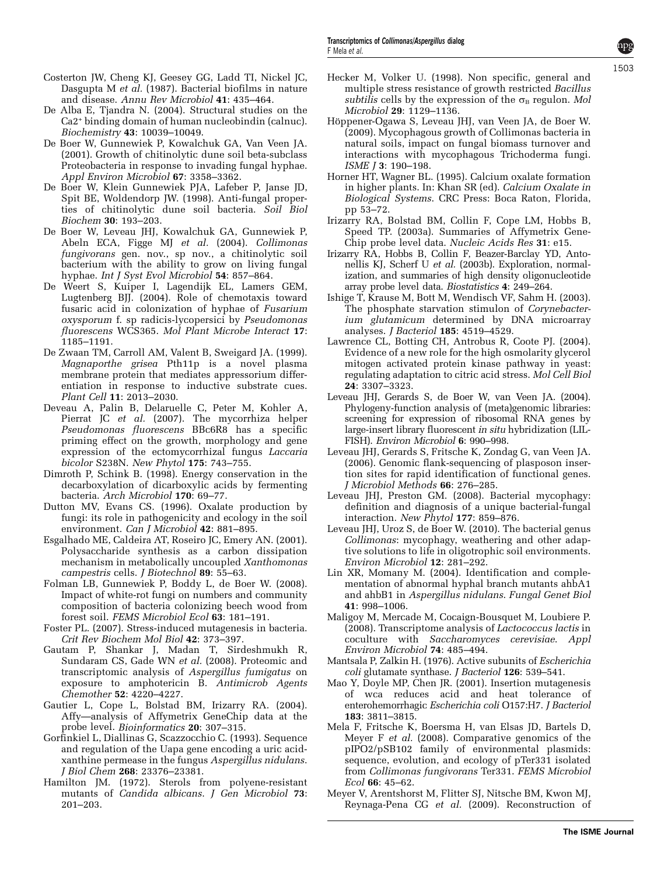- <span id="page-9-0"></span>De Alba E, Tjandra N. (2004). Structural studies on the Ca2<sup>+</sup> binding domain of human nucleobindin (calnuc). Biochemistry 43: 10039–10049.
- De Boer W, Gunnewiek P, Kowalchuk GA, Van Veen JA. (2001). Growth of chitinolytic dune soil beta-subclass Proteobacteria in response to invading fungal hyphae. Appl Environ Microbiol 67: 3358–3362.
- De Boer W, Klein Gunnewiek PJA, Lafeber P, Janse JD, Spit BE, Woldendorp JW. (1998). Anti-fungal properties of chitinolytic dune soil bacteria. Soil Biol Biochem 30: 193–203.
- De Boer W, Leveau JHJ, Kowalchuk GA, Gunnewiek P, Abeln ECA, Figge MJ et al. (2004). Collimonas fungivorans gen. nov., sp nov., a chitinolytic soil bacterium with the ability to grow on living fungal hyphae. Int J Syst Evol Microbiol 54: 857–864.
- De Weert S, Kuiper I, Lagendijk EL, Lamers GEM, Lugtenberg BJJ. (2004). Role of chemotaxis toward fusaric acid in colonization of hyphae of Fusarium oxysporum f. sp radicis-lycopersici by Pseudomonas fluorescens WCS365. Mol Plant Microbe Interact 17: 1185–1191.
- De Zwaan TM, Carroll AM, Valent B, Sweigard JA. (1999). Magnaporthe grisea Pth11p is a novel plasma membrane protein that mediates appressorium differentiation in response to inductive substrate cues. Plant Cell 11: 2013–2030.
- Deveau A, Palin B, Delaruelle C, Peter M, Kohler A, Pierrat JC et al. (2007). The mycorrhiza helper Pseudomonas fluorescens BBc6R8 has a specific priming effect on the growth, morphology and gene expression of the ectomycorrhizal fungus *Laccaria* bicolor S238N. New Phytol 175: 743–755.
- Dimroth P, Schink B. (1998). Energy conservation in the decarboxylation of dicarboxylic acids by fermenting bacteria. Arch Microbiol 170: 69–77.
- Dutton MV, Evans CS. (1996). Oxalate production by fungi: its role in pathogenicity and ecology in the soil environment. Can J Microbiol 42: 881–895.
- Esgalhado ME, Caldeira AT, Roseiro JC, Emery AN. (2001). Polysaccharide synthesis as a carbon dissipation mechanism in metabolically uncoupled Xanthomonas campestris cells. J Biotechnol 89: 55–63.
- Folman LB, Gunnewiek P, Boddy L, de Boer W. (2008). Impact of white-rot fungi on numbers and community composition of bacteria colonizing beech wood from forest soil. FEMS Microbiol Ecol 63: 181–191.
- Foster PL. (2007). Stress-induced mutagenesis in bacteria. Crit Rev Biochem Mol Biol 42: 373–397.
- Gautam P, Shankar J, Madan T, Sirdeshmukh R, Sundaram CS, Gade WN et al. (2008). Proteomic and transcriptomic analysis of Aspergillus fumigatus on exposure to amphotericin B. Antimicrob Agents Chemother 52: 4220–4227.
- Gautier L, Cope L, Bolstad BM, Irizarry RA. (2004). Affy—analysis of Affymetrix GeneChip data at the probe level. Bioinformatics 20: 307–315.
- Gorfinkiel L, Diallinas G, Scazzocchio C. (1993). Sequence and regulation of the Uapa gene encoding a uric acidxanthine permease in the fungus Aspergillus nidulans. J Biol Chem 268: 23376–23381.
- Hamilton JM. (1972). Sterols from polyene-resistant mutants of Candida albicans. J Gen Microbiol 73: 201–203.
- Hecker M, Volker U. (1998). Non specific, general and multiple stress resistance of growth restricted Bacillus subtilis cells by the expression of the  $\sigma_B$  regulon. Mol Microbiol 29: 1129–1136.
- Höppener-Ogawa S, Leveau JHJ, van Veen JA, de Boer W. (2009). Mycophagous growth of Collimonas bacteria in natural soils, impact on fungal biomass turnover and interactions with mycophagous Trichoderma fungi. ISME J 3: 190–198.
- Horner HT, Wagner BL. (1995). Calcium oxalate formation in higher plants. In: Khan SR (ed). Calcium Oxalate in Biological Systems. CRC Press: Boca Raton, Florida, pp 53–72.
- Irizarry RA, Bolstad BM, Collin F, Cope LM, Hobbs B, Speed TP. (2003a). Summaries of Affymetrix Gene-Chip probe level data. Nucleic Acids Res 31: e15.
- Irizarry RA, Hobbs B, Collin F, Beazer-Barclay YD, Antonellis KJ, Scherf U et al. (2003b). Exploration, normalization, and summaries of high density oligonucleotide array probe level data. Biostatistics 4: 249–264.
- Ishige T, Krause M, Bott M, Wendisch VF, Sahm H. (2003). The phosphate starvation stimulon of Corynebacterium glutamicum determined by DNA microarray analyses. J Bacteriol 185: 4519–4529.
- Lawrence CL, Botting CH, Antrobus R, Coote PJ. (2004). Evidence of a new role for the high osmolarity glycerol mitogen activated protein kinase pathway in yeast: regulating adaptation to citric acid stress. Mol Cell Biol 24: 3307–3323.
- Leveau JHJ, Gerards S, de Boer W, van Veen JA. (2004). Phylogeny-function analysis of (meta)genomic libraries: screening for expression of ribosomal RNA genes by large-insert library fluorescent in situ hybridization (LIL-FISH). Environ Microbiol 6: 990–998.
- Leveau JHJ, Gerards S, Fritsche K, Zondag G, van Veen JA. (2006). Genomic flank-sequencing of plasposon insertion sites for rapid identification of functional genes. J Microbiol Methods 66: 276–285.
- Leveau JHJ, Preston GM. (2008). Bacterial mycophagy: definition and diagnosis of a unique bacterial-fungal interaction. New Phytol 177: 859–876.
- Leveau JHJ, Uroz S, de Boer W. (2010). The bacterial genus Collimonas: mycophagy, weathering and other adaptive solutions to life in oligotrophic soil environments. Environ Microbiol 12: 281–292.
- Lin XR, Momany M. (2004). Identification and complementation of abnormal hyphal branch mutants ahbA1 and ahbB1 in Aspergillus nidulans. Fungal Genet Biol 41: 998–1006.
- Maligoy M, Mercade M, Cocaign-Bousquet M, Loubiere P. (2008). Transcriptome analysis of Lactococcus lactis in coculture with Saccharomyces cerevisiae. Appl Environ Microbiol 74: 485–494.
- Mantsala P, Zalkin H. (1976). Active subunits of Escherichia coli glutamate synthase. J Bacteriol 126: 539–541.
- Mao Y, Doyle MP, Chen JR. (2001). Insertion mutagenesis of wca reduces acid and heat tolerance of enterohemorrhagic Escherichia coli O157:H7. J Bacteriol 183: 3811–3815.
- Mela F, Fritsche K, Boersma H, van Elsas JD, Bartels D, Meyer F et al. (2008). Comparative genomics of the pIPO2/pSB102 family of environmental plasmids: sequence, evolution, and ecology of pTer331 isolated from Collimonas fungivorans Ter331. FEMS Microbiol Ecol 66: 45–62.
- Meyer V, Arentshorst M, Flitter SJ, Nitsche BM, Kwon MJ, Reynaga-Pena CG et al. (2009). Reconstruction of